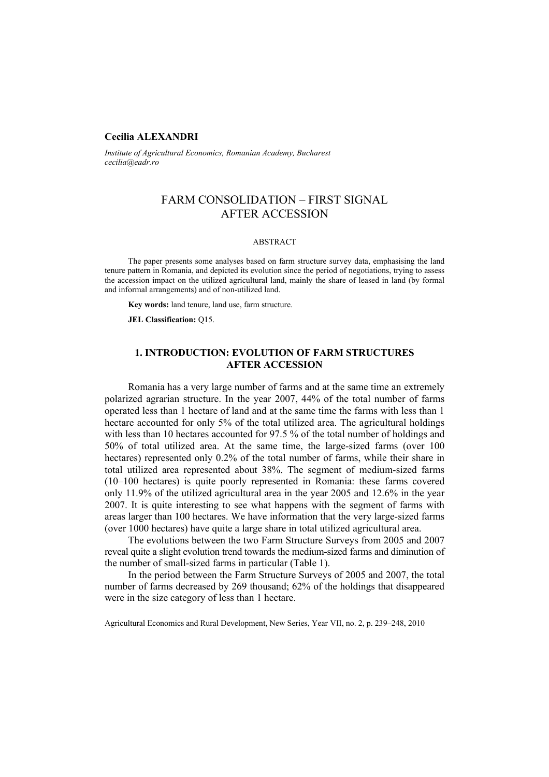## **Cecilia ALEXANDRI**

*Institute of Agricultural Economics, Romanian Academy, Bucharest cecilia@eadr.ro*

# FARM CONSOLIDATION – FIRST SIGNAL AFTER ACCESSION

## ABSTRACT

The paper presents some analyses based on farm structure survey data, emphasising the land tenure pattern in Romania, and depicted its evolution since the period of negotiations, trying to assess the accession impact on the utilized agricultural land, mainly the share of leased in land (by formal and informal arrangements) and of non-utilized land.

**Key words:** land tenure, land use, farm structure.

**JEL Classification:** Q15.

## **1. INTRODUCTION: EVOLUTION OF FARM STRUCTURES AFTER ACCESSION**

Romania has a very large number of farms and at the same time an extremely polarized agrarian structure. In the year 2007, 44% of the total number of farms operated less than 1 hectare of land and at the same time the farms with less than 1 hectare accounted for only 5% of the total utilized area. The agricultural holdings with less than 10 hectares accounted for 97.5 % of the total number of holdings and 50% of total utilized area. At the same time, the large-sized farms (over 100 hectares) represented only 0.2% of the total number of farms, while their share in total utilized area represented about 38%. The segment of medium-sized farms (10–100 hectares) is quite poorly represented in Romania: these farms covered only 11.9% of the utilized agricultural area in the year 2005 and 12.6% in the year 2007. It is quite interesting to see what happens with the segment of farms with areas larger than 100 hectares. We have information that the very large-sized farms (over 1000 hectares) have quite a large share in total utilized agricultural area.

The evolutions between the two Farm Structure Surveys from 2005 and 2007 reveal quite a slight evolution trend towards the medium-sized farms and diminution of the number of small-sized farms in particular (Table 1).

In the period between the Farm Structure Surveys of 2005 and 2007, the total number of farms decreased by 269 thousand; 62% of the holdings that disappeared were in the size category of less than 1 hectare.

Agricultural Economics and Rural Development, New Series, Year VII, no. 2, p. 239–248, 2010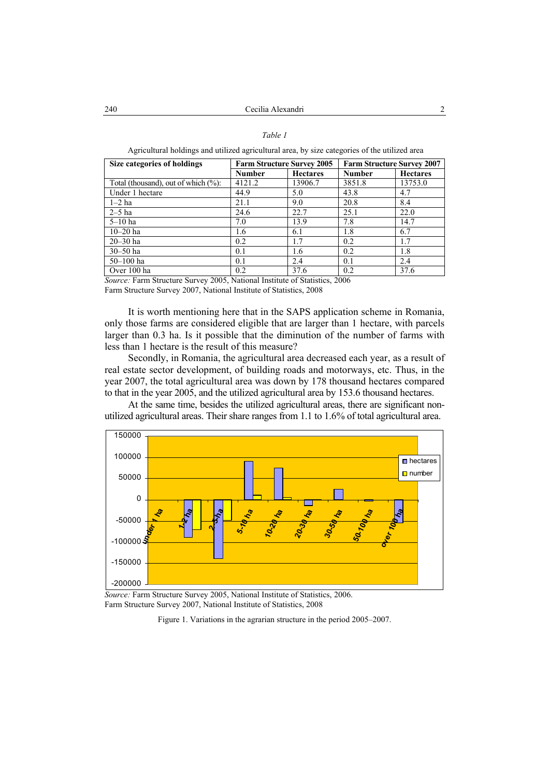#### *Table 1*

Agricultural holdings and utilized agricultural area, by size categories of the utilized area

| Size categories of holdings             | <b>Farm Structure Survey 2005</b> |                 | <b>Farm Structure Survey 2007</b> |                 |  |
|-----------------------------------------|-----------------------------------|-----------------|-----------------------------------|-----------------|--|
|                                         | <b>Number</b>                     | <b>Hectares</b> | <b>Number</b>                     | <b>Hectares</b> |  |
| Total (thousand), out of which $(\%)$ : | 4121.2                            | 13906.7         | 3851.8                            | 13753.0         |  |
| Under 1 hectare                         | 44.9                              | 5.0             | 43.8                              | 4.7             |  |
| $1-2$ ha                                | 21.1                              | 9.0             | 20.8                              | 8.4             |  |
| $2-5$ ha                                | 24.6                              | 22.7            | 25.1                              | 22.0            |  |
| $5-10$ ha                               | 7.0                               | 13.9            | 7.8                               | 14.7            |  |
| $10 - 20$ ha                            | 1.6                               | 6.1             | 1.8                               | 6.7             |  |
| $20 - 30$ ha                            | 0.2                               | 1.7             | 0.2                               | 1.7             |  |
| $30 - 50$ ha                            | 0.1                               | 1.6             | 0.2                               | 1.8             |  |
| $50 - 100$ ha                           | 0.1                               | 2.4             | 0.1                               | 2.4             |  |
| Over 100 ha                             | 0.2                               | 37.6            | 0.2                               | 37.6            |  |

*Source:* Farm Structure Survey 2005, National Institute of Statistics, 2006 Farm Structure Survey 2007, National Institute of Statistics, 2008

It is worth mentioning here that in the SAPS application scheme in Romania, only those farms are considered eligible that are larger than 1 hectare, with parcels larger than 0.3 ha. Is it possible that the diminution of the number of farms with less than 1 hectare is the result of this measure?

Secondly, in Romania, the agricultural area decreased each year, as a result of real estate sector development, of building roads and motorways, etc. Thus, in the year 2007, the total agricultural area was down by 178 thousand hectares compared to that in the year 2005, and the utilized agricultural area by 153.6 thousand hectares.

At the same time, besides the utilized agricultural areas, there are significant nonutilized agricultural areas. Their share ranges from 1.1 to 1.6% of total agricultural area.



*Source:* Farm Structure Survey 2005, National Institute of Statistics, 2006. Farm Structure Survey 2007, National Institute of Statistics, 2008

Figure 1. Variations in the agrarian structure in the period 2005–2007.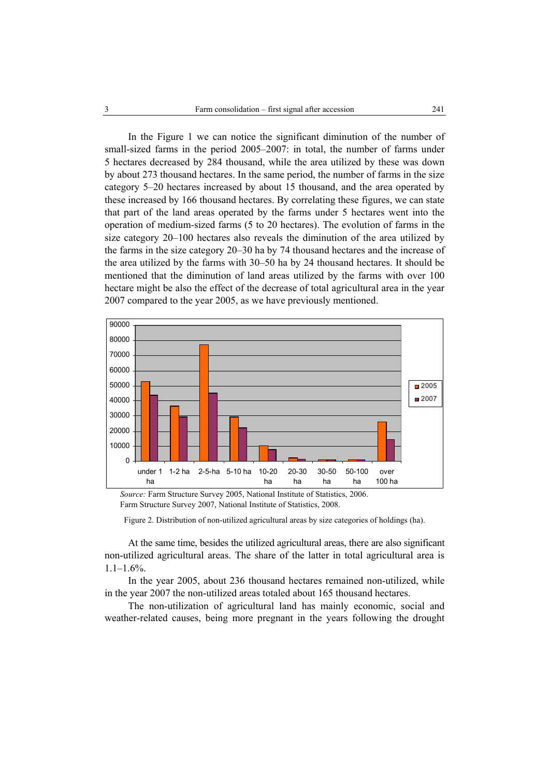In the Figure 1 we can notice the significant diminution of the number of small-sized farms in the period 2005–2007: in total, the number of farms under 5 hectares decreased by 284 thousand, while the area utilized by these was down by about 273 thousand hectares. In the same period, the number of farms in the size category 5–20 hectares increased by about 15 thousand, and the area operated by these increased by 166 thousand hectares. By correlating these figures, we can state that part of the land areas operated by the farms under 5 hectares went into the operation of medium-sized farms (5 to 20 hectares). The evolution of farms in the size category 20–100 hectares also reveals the diminution of the area utilized by the farms in the size category 20–30 ha by 74 thousand hectares and the increase of the area utilized by the farms with 30–50 ha by 24 thousand hectares. It should be mentioned that the diminution of land areas utilized by the farms with over 100 hectare might be also the effect of the decrease of total agricultural area in the year 2007 compared to the year 2005, as we have previously mentioned.



*Source:* Farm Structure Survey 2005, National Institute of Statistics, 2006. Farm Structure Survey 2007, National Institute of Statistics, 2008.

Figure 2. Distribution of non-utilized agricultural areas by size categories of holdings (ha).

At the same time, besides the utilized agricultural areas, there are also significant non-utilized agricultural areas. The share of the latter in total agricultural area is  $1.1-1.6%$ .

In the year 2005, about 236 thousand hectares remained non-utilized, while in the year 2007 the non-utilized areas totaled about 165 thousand hectares.

The non-utilization of agricultural land has mainly economic, social and weather-related causes, being more pregnant in the years following the drought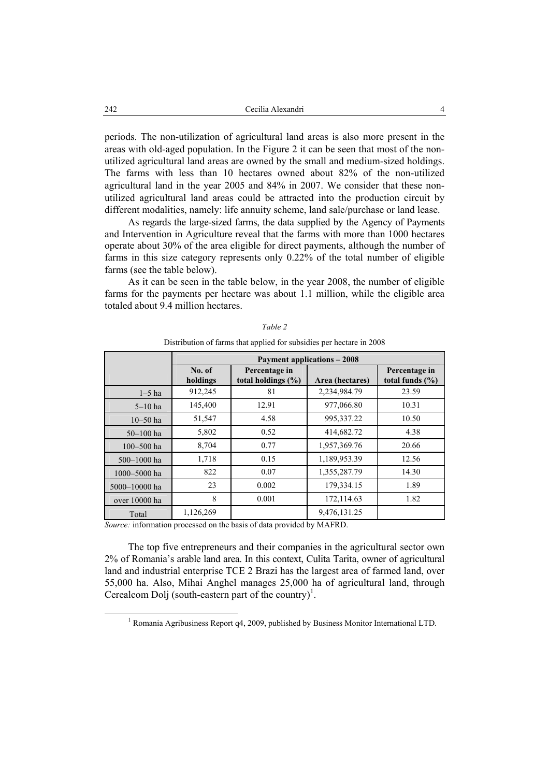periods. The non-utilization of agricultural land areas is also more present in the areas with old-aged population. In the Figure 2 it can be seen that most of the nonutilized agricultural land areas are owned by the small and medium-sized holdings. The farms with less than 10 hectares owned about 82% of the non-utilized agricultural land in the year 2005 and 84% in 2007. We consider that these nonutilized agricultural land areas could be attracted into the production circuit by different modalities, namely: life annuity scheme, land sale/purchase or land lease.

As regards the large-sized farms, the data supplied by the Agency of Payments and Intervention in Agriculture reveal that the farms with more than 1000 hectares operate about 30% of the area eligible for direct payments, although the number of farms in this size category represents only 0.22% of the total number of eligible farms (see the table below).

As it can be seen in the table below, in the year 2008, the number of eligible farms for the payments per hectare was about 1.1 million, while the eligible area totaled about 9.4 million hectares.

|                | <b>Payment applications - 2008</b>                                           |                                         |                 |                                      |  |  |  |  |
|----------------|------------------------------------------------------------------------------|-----------------------------------------|-----------------|--------------------------------------|--|--|--|--|
|                | No. of<br>holdings                                                           | Percentage in<br>total holdings $(\% )$ | Area (hectares) | Percentage in<br>total funds $(\% )$ |  |  |  |  |
| $1-5$ ha       | 912,245                                                                      | 81                                      | 2,234,984.79    | 23.59                                |  |  |  |  |
| $5-10$ ha      | 145,400                                                                      | 12.91                                   | 977,066.80      | 10.31                                |  |  |  |  |
| $10 - 50$ ha   | 51,547                                                                       | 4.58                                    | 995,337.22      | 10.50                                |  |  |  |  |
| $50 - 100$ ha  | 5,802                                                                        | 0.52                                    | 414,682.72      | 4.38                                 |  |  |  |  |
| $100 - 500$ ha | 8,704                                                                        | 0.77                                    | 1,957,369.76    | 20.66                                |  |  |  |  |
| 500-1000 ha    | 1,718                                                                        | 0.15                                    | 1,189,953.39    | 12.56                                |  |  |  |  |
| 1000-5000 ha   | 822                                                                          | 0.07                                    | 1,355,287.79    | 14.30                                |  |  |  |  |
| 5000-10000 ha  | 23                                                                           | 0.002                                   | 179,334.15      | 1.89                                 |  |  |  |  |
| over 10000 ha  | 8                                                                            | 0.001                                   | 172,114.63      | 1.82                                 |  |  |  |  |
| Total          | 1,126,269<br>$\mathbf{A}$ and $\mathbf{A}$ and $\mathbf{A}$ and $\mathbf{A}$ | .<br>$\sim$ $\sim$                      | 9,476,131.25    |                                      |  |  |  |  |

*Table 2*  Distribution of farms that applied for subsidies per hectare in 2008

*Source:* information processed on the basis of data provided by MAFRD.

The top five entrepreneurs and their companies in the agricultural sector own 2% of Romania's arable land area. In this context, Culita Tarita, owner of agricultural land and industrial enterprise TCE 2 Brazi has the largest area of farmed land, over 55,000 ha. Also, Mihai Anghel manages 25,000 ha of agricultural land, through Cerealcom Dolj (south-eastern part of the country)<sup>1</sup>.

 $\frac{1}{1}$ <sup>1</sup> Romania Agribusiness Report q4, 2009, published by Business Monitor International LTD.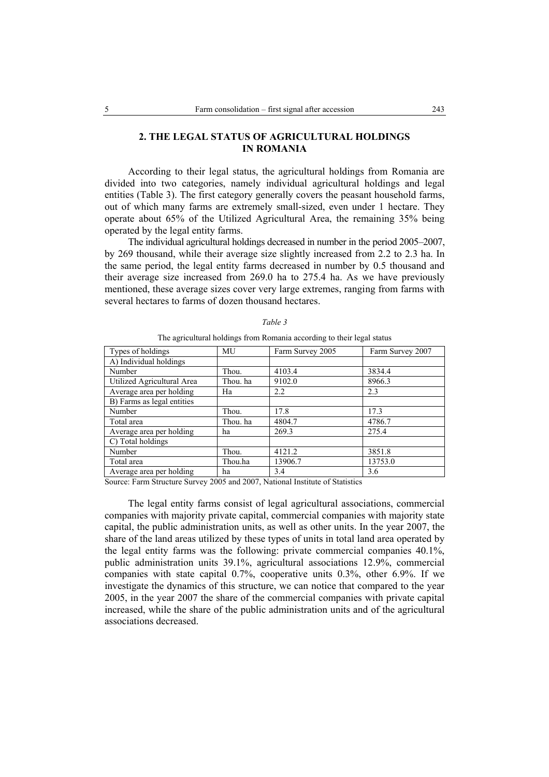## **2. THE LEGAL STATUS OF AGRICULTURAL HOLDINGS IN ROMANIA**

According to their legal status, the agricultural holdings from Romania are divided into two categories, namely individual agricultural holdings and legal entities (Table 3). The first category generally covers the peasant household farms, out of which many farms are extremely small-sized, even under 1 hectare. They operate about 65% of the Utilized Agricultural Area, the remaining 35% being operated by the legal entity farms.

The individual agricultural holdings decreased in number in the period 2005–2007, by 269 thousand, while their average size slightly increased from 2.2 to 2.3 ha. In the same period, the legal entity farms decreased in number by 0.5 thousand and their average size increased from 269.0 ha to 275.4 ha. As we have previously mentioned, these average sizes cover very large extremes, ranging from farms with several hectares to farms of dozen thousand hectares.

| Types of holdings          | MU       | Farm Survey 2005 | Farm Survey 2007 |
|----------------------------|----------|------------------|------------------|
| A) Individual holdings     |          |                  |                  |
| Number                     | Thou.    | 4103.4           | 3834.4           |
| Utilized Agricultural Area | Thou, ha | 9102.0           | 8966.3           |
| Average area per holding   | Ha       | 2.2              | 2.3              |
| B) Farms as legal entities |          |                  |                  |
| Number                     | Thou.    | 17.8             | 17.3             |
| Total area                 | Thou, ha | 4804.7           | 4786.7           |
| Average area per holding   | ha       | 269.3            | 275.4            |
| C) Total holdings          |          |                  |                  |
| Number                     | Thou.    | 4121.2           | 3851.8           |
| Total area                 | Thou.ha  | 13906.7          | 13753.0          |
| Average area per holding   | ha       | 3.4              | 3.6              |

*Table 3* 

The agricultural holdings from Romania according to their legal status

Source: Farm Structure Survey 2005 and 2007, National Institute of Statistics

The legal entity farms consist of legal agricultural associations, commercial companies with majority private capital, commercial companies with majority state capital, the public administration units, as well as other units. In the year 2007, the share of the land areas utilized by these types of units in total land area operated by the legal entity farms was the following: private commercial companies 40.1%, public administration units 39.1%, agricultural associations 12.9%, commercial companies with state capital 0.7%, cooperative units 0.3%, other 6.9%. If we investigate the dynamics of this structure, we can notice that compared to the year 2005, in the year 2007 the share of the commercial companies with private capital increased, while the share of the public administration units and of the agricultural associations decreased.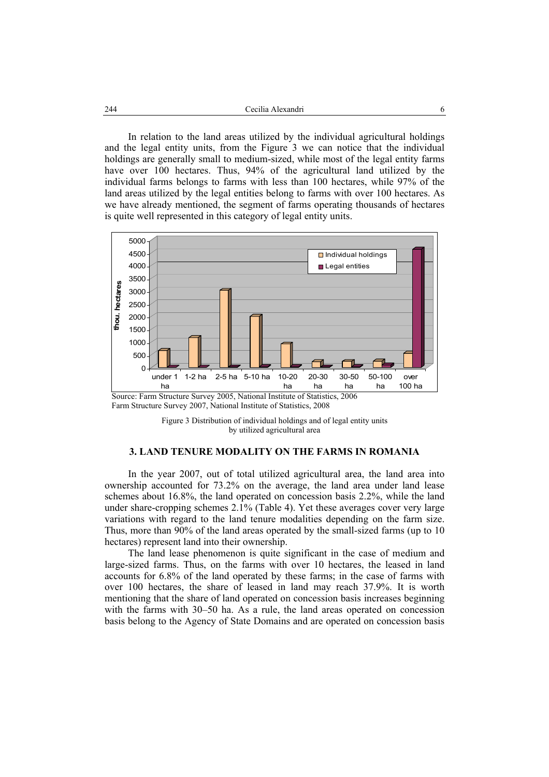In relation to the land areas utilized by the individual agricultural holdings and the legal entity units, from the Figure 3 we can notice that the individual holdings are generally small to medium-sized, while most of the legal entity farms have over 100 hectares. Thus, 94% of the agricultural land utilized by the individual farms belongs to farms with less than 100 hectares, while 97% of the land areas utilized by the legal entities belong to farms with over 100 hectares. As we have already mentioned, the segment of farms operating thousands of hectares is quite well represented in this category of legal entity units.



Source: Farm Structure Survey 2005, National Institute of Statistics, 2006 Farm Structure Survey 2007, National Institute of Statistics, 2008



## **3. LAND TENURE MODALITY ON THE FARMS IN ROMANIA**

In the year 2007, out of total utilized agricultural area, the land area into ownership accounted for 73.2% on the average, the land area under land lease schemes about 16.8%, the land operated on concession basis 2.2%, while the land under share-cropping schemes 2.1% (Table 4). Yet these averages cover very large variations with regard to the land tenure modalities depending on the farm size. Thus, more than 90% of the land areas operated by the small-sized farms (up to 10 hectares) represent land into their ownership.

The land lease phenomenon is quite significant in the case of medium and large-sized farms. Thus, on the farms with over 10 hectares, the leased in land accounts for 6.8% of the land operated by these farms; in the case of farms with over 100 hectares, the share of leased in land may reach 37.9%. It is worth mentioning that the share of land operated on concession basis increases beginning with the farms with 30–50 ha. As a rule, the land areas operated on concession basis belong to the Agency of State Domains and are operated on concession basis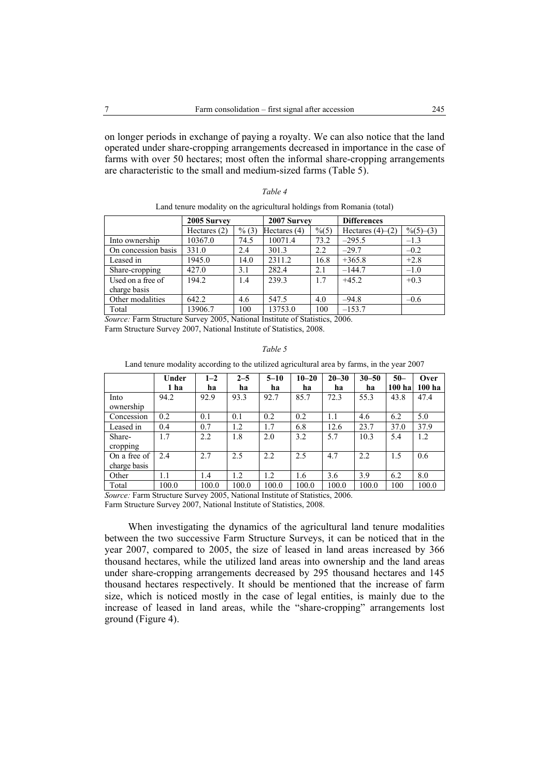on longer periods in exchange of paying a royalty. We can also notice that the land operated under share-cropping arrangements decreased in importance in the case of farms with over 50 hectares; most often the informal share-cropping arrangements are characteristic to the small and medium-sized farms (Table 5).

## *Table 4*

#### Land tenure modality on the agricultural holdings from Romania (total)

|                     | 2005 Survey    |       | 2007 Survey    |                  | <b>Differences</b> |                      |  |
|---------------------|----------------|-------|----------------|------------------|--------------------|----------------------|--|
|                     | Hectares $(2)$ | % (3) | Hectares $(4)$ | $\frac{9}{6}(5)$ | Hectares $(4)–(2)$ | $\frac{9}{6}(5)-(3)$ |  |
| Into ownership      | 10367.0        | 74.5  | 10071.4        | 73.2             | $-295.5$           | $-1.3$               |  |
| On concession basis | 331.0          | 2.4   | 301.3          | 2.2              | $-29.7$            | $-0.2$               |  |
| Leased in           | 1945.0         | 14.0  | 2311.2         | 16.8             | $+365.8$           | $+2.8$               |  |
| Share-cropping      | 427.0          | 3.1   | 282.4          | 2.1              | $-144.7$           | $-1.0$               |  |
| Used on a free of   | 194.2          | 1.4   | 2393           | 1.7              | $+45.2$            | $+0.3$               |  |
| charge basis        |                |       |                |                  |                    |                      |  |
| Other modalities    | 642.2          | 4.6   | 547.5          | 4.0              | $-94.8$            | $-0.6$               |  |
| Total               | 13906.7        | 100   | 13753.0        | 100              | $-153.7$           |                      |  |

*Source:* Farm Structure Survey 2005, National Institute of Statistics, 2006. Farm Structure Survey 2007, National Institute of Statistics, 2008.

#### *Table 5*

Land tenure modality according to the utilized agricultural area by farms, in the year 2007

|              | Under | $1 - 2$ | $2 - 5$ | $5 - 10$ | $10 - 20$ | $20 - 30$ | $30 - 50$ | $50 -$            | Over   |
|--------------|-------|---------|---------|----------|-----------|-----------|-----------|-------------------|--------|
|              | 1 ha  | ha      | ha      | ha       | ha        | ha        | ha        | 100 <sub>ha</sub> | 100 ha |
| Into         | 94.2  | 92.9    | 93.3    | 92.7     | 85.7      | 72.3      | 55.3      | 43.8              | 47.4   |
| ownership    |       |         |         |          |           |           |           |                   |        |
| Concession   | 0.2   | 0.1     | 0.1     | 0.2      | 0.2       | 1.1       | 4.6       | 6.2               | 5.0    |
| Leased in    | 0.4   | 0.7     | 1.2     | 1.7      | 6.8       | 12.6      | 23.7      | 37.0              | 37.9   |
| Share-       | 1.7   | 2.2     | 1.8     | 2.0      | 3.2       | 5.7       | 10.3      | 5.4               | 1.2    |
| cropping     |       |         |         |          |           |           |           |                   |        |
| On a free of | 2.4   | 2.7     | 2.5     | 2.2      | 2.5       | 4.7       | 2.2       | 1.5               | 0.6    |
| charge basis |       |         |         |          |           |           |           |                   |        |
| Other        | 1.1   | 1.4     | 1.2     | 1.2      | 1.6       | 3.6       | 3.9       | 6.2               | 8.0    |
| Total        | 100.0 | 100.0   | 100.0   | 100.0    | 100.0     | 100.0     | 100.0     | 100               | 100.0  |

*Source:* Farm Structure Survey 2005, National Institute of Statistics, 2006. Farm Structure Survey 2007, National Institute of Statistics, 2008.

When investigating the dynamics of the agricultural land tenure modalities between the two successive Farm Structure Surveys, it can be noticed that in the year 2007, compared to 2005, the size of leased in land areas increased by 366 thousand hectares, while the utilized land areas into ownership and the land areas under share-cropping arrangements decreased by 295 thousand hectares and 145 thousand hectares respectively. It should be mentioned that the increase of farm size, which is noticed mostly in the case of legal entities, is mainly due to the increase of leased in land areas, while the "share-cropping" arrangements lost ground (Figure 4).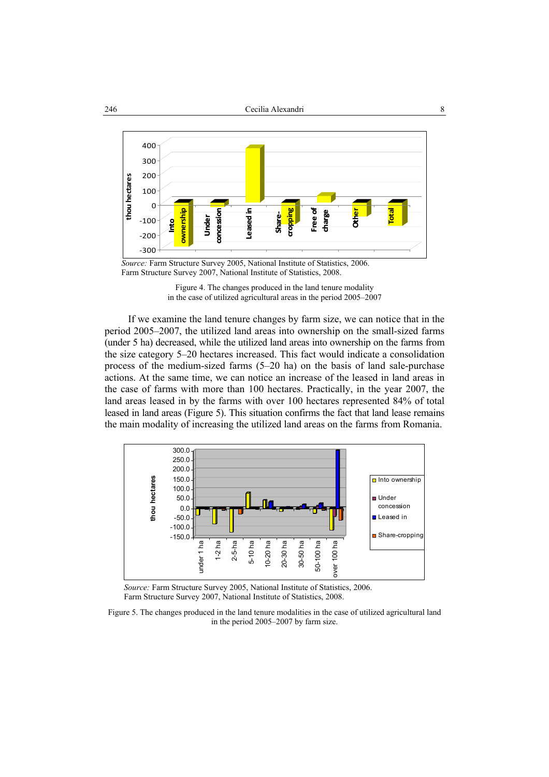

*Source:* Farm Structure Survey 2005, National Institute of Statistics, 2006. Farm Structure Survey 2007, National Institute of Statistics, 2008.

Figure 4. The changes produced in the land tenure modality in the case of utilized agricultural areas in the period 2005–2007

If we examine the land tenure changes by farm size, we can notice that in the period 2005–2007, the utilized land areas into ownership on the small-sized farms (under 5 ha) decreased, while the utilized land areas into ownership on the farms from the size category 5–20 hectares increased. This fact would indicate a consolidation process of the medium-sized farms (5–20 ha) on the basis of land sale-purchase actions. At the same time, we can notice an increase of the leased in land areas in the case of farms with more than 100 hectares. Practically, in the year 2007, the land areas leased in by the farms with over 100 hectares represented 84% of total leased in land areas (Figure 5). This situation confirms the fact that land lease remains the main modality of increasing the utilized land areas on the farms from Romania.



*Source:* Farm Structure Survey 2005, National Institute of Statistics, 2006. Farm Structure Survey 2007, National Institute of Statistics, 2008.

Figure 5. The changes produced in the land tenure modalities in the case of utilized agricultural land in the period 2005–2007 by farm size.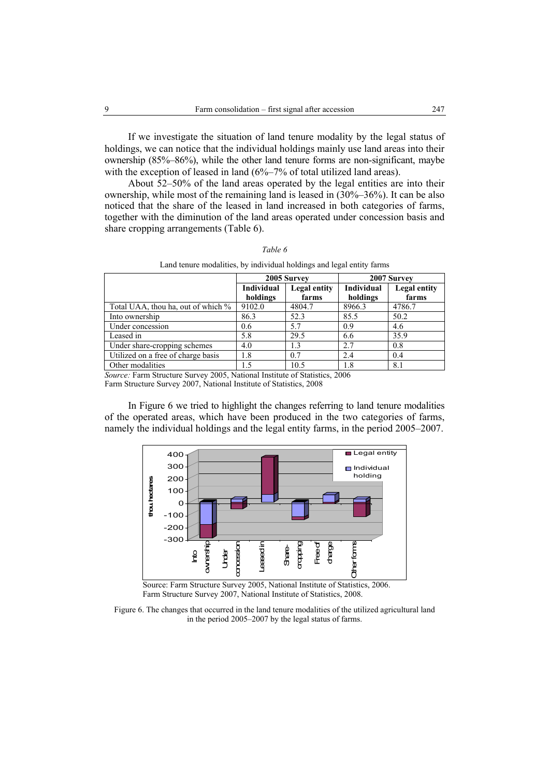If we investigate the situation of land tenure modality by the legal status of holdings, we can notice that the individual holdings mainly use land areas into their ownership (85%–86%), while the other land tenure forms are non-significant, maybe with the exception of leased in land (6%–7% of total utilized land areas).

About 52–50% of the land areas operated by the legal entities are into their ownership, while most of the remaining land is leased in (30%–36%). It can be also noticed that the share of the leased in land increased in both categories of farms, together with the diminution of the land areas operated under concession basis and share cropping arrangements (Table 6).

| Land tenare modamnos, o quan quada noramno and regar entre quinto          |                                   |             |                   |              |  |  |  |  |
|----------------------------------------------------------------------------|-----------------------------------|-------------|-------------------|--------------|--|--|--|--|
|                                                                            |                                   | 2005 Survey | 2007 Survey       |              |  |  |  |  |
|                                                                            | <b>Individual</b><br>Legal entity |             | <b>Individual</b> | Legal entity |  |  |  |  |
|                                                                            | holdings                          | farms       | holdings          | farms        |  |  |  |  |
| Total UAA, thou ha, out of which %                                         | 9102.0                            | 4804.7      | 8966.3            | 4786.7       |  |  |  |  |
| Into ownership                                                             | 86.3                              | 52.3        | 85.5              | 50.2         |  |  |  |  |
| Under concession                                                           | 0.6                               | 5.7         | 0.9               | 4.6          |  |  |  |  |
| Leased in                                                                  | 5.8                               | 29.5        | 6.6               | 35.9         |  |  |  |  |
| Under share-cropping schemes                                               | 4.0                               | 1.3         | 2.7               | 0.8          |  |  |  |  |
| Utilized on a free of charge basis                                         | 1.8                               | 0.7         | 2.4               | 0.4          |  |  |  |  |
| Other modalities                                                           | 1.5                               | 10.5        | 1.8               | 8.1          |  |  |  |  |
| Course Form Structure Current 2005, Notional Institute of Statistics, 2006 |                                   |             |                   |              |  |  |  |  |

*Table 6* 

Land tenure modalities, by individual holdings and legal entity farms

*Source:* Farm Structure Survey 2005, National Institute of Statistics, 2006 Farm Structure Survey 2007, National Institute of Statistics, 2008

In Figure 6 we tried to highlight the changes referring to land tenure modalities of the operated areas, which have been produced in the two categories of farms, namely the individual holdings and the legal entity farms, in the period 2005–2007.



Source: Farm Structure Survey 2005, National Institute of Statistics, 2006. Farm Structure Survey 2007, National Institute of Statistics, 2008.

Figure 6. The changes that occurred in the land tenure modalities of the utilized agricultural land in the period 2005–2007 by the legal status of farms.